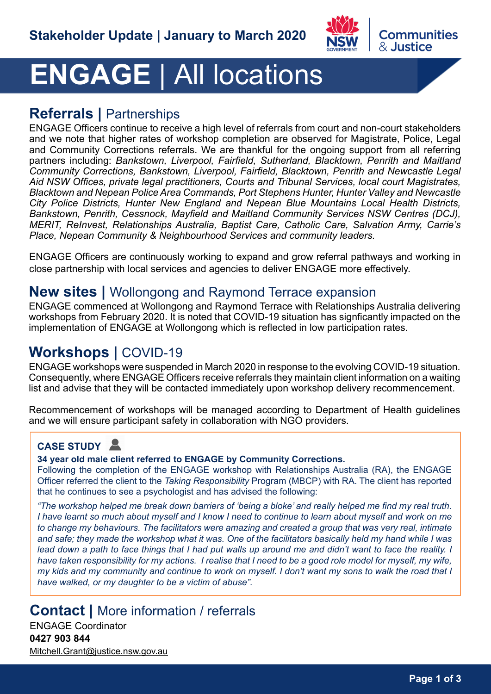

### Communities & Justice

# **ENGAGE** | All locations

## **Referrals |** Partnerships

ENGAGE Officers continue to receive a high level of referrals from court and non-court stakeholders and we note that higher rates of workshop completion are observed for Magistrate, Police, Legal and Community Corrections referrals. We are thankful for the ongoing support from all referring partners including: *Bankstown, Liverpool, Fairfield, Sutherland, Blacktown, Penrith and Maitland Community Corrections, Bankstown, Liverpool, Fairfield, Blacktown, Penrith and Newcastle Legal Aid NSW Offices, private legal practitioners, Courts and Tribunal Services, local court Magistrates, Blacktown and Nepean Police Area Commands, Port Stephens Hunter, Hunter Valley and Newcastle City Police Districts, Hunter New England and Nepean Blue Mountains Local Health Districts, Bankstown, Penrith, Cessnock, Mayfield and Maitland Community Services NSW Centres (DCJ), MERIT, ReInvest, Relationships Australia, Baptist Care, Catholic Care, Salvation Army, Carrie's Place, Nepean Community & Neighbourhood Services and community leaders.*

ENGAGE Officers are continuously working to expand and grow referral pathways and working in close partnership with local services and agencies to deliver ENGAGE more effectively.

## **New sites |** Wollongong and Raymond Terrace expansion

ENGAGE commenced at Wollongong and Raymond Terrace with Relationships Australia delivering workshops from February 2020. It is noted that COVID-19 situation has signficantly impacted on the implementation of ENGAGE at Wollongong which is reflected in low participation rates.

# **Workshops |** COVID-19

ENGAGE workshops were suspended in March 2020 in response to the evolving COVID-19 situation. Consequently, where ENGAGE Officers receive referrals they maintain client information on a waiting list and advise that they will be contacted immediately upon workshop delivery recommencement.

Recommencement of workshops will be managed according to Department of Health guidelines and we will ensure participant safety in collaboration with NGO providers.

### **CASE STUDY**

#### **34 year old male client referred to ENGAGE by Community Corrections.**

Following the completion of the ENGAGE workshop with Relationships Australia (RA), the ENGAGE Officer referred the client to the *Taking Responsibility* Program (MBCP) with RA. The client has reported that he continues to see a psychologist and has advised the following:

*"The workshop helped me break down barriers of 'being a bloke' and really helped me find my real truth. I have learnt so much about myself and I know I need to continue to learn about myself and work on me to change my behaviours. The facilitators were amazing and created a group that was very real, intimate and safe; they made the workshop what it was. One of the facilitators basically held my hand while I was*  lead down a path to face things that I had put walls up around me and didn't want to face the reality. I *have taken responsibility for my actions. I realise that I need to be a good role model for myself, my wife, my kids and my community and continue to work on myself. I don't want my sons to walk the road that I have walked, or my daughter to be a victim of abuse".*

## **Contact |** More information / referrals

ENGAGE Coordinator **0427 903 844** Mitchell.Grant@justice.nsw.gov.au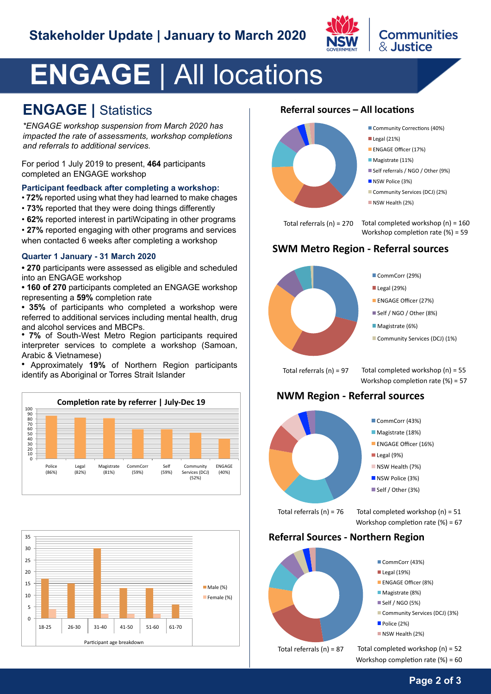

# **ENGAGE** | All locations

## **ENGAGE |** Statistics

*\*ENGAGE workshop suspension from March 2020 has impacted the rate of assessments, workshop completions and referrals to additional services.*

For period 1 July 2019 to present, **464** participants completed an ENGAGE workshop

#### **Participant feedback after completing a workshop:**

- **72%** reported using what they had learned to make chages
- **73%** reported that they were doing things differently
- **62%** reported interest in partiWcipating in other programs
- **27%** reported engaging with other programs and services when contacted 6 weeks after completing a workshop

#### **Quarter 1 January - 31 March 2020**

**• 270** participants were assessed as eligible and scheduled into an ENGAGE workshop

**• 160 of 270** participants completed an ENGAGE workshop representing a **59%** completion rate

**• 35%** of participants who completed a workshop were referred to additional services including mental health, drug and alcohol services and MBCPs.

**• 7%** of South-West Metro Region participants required interpreter services to complete a workshop (Samoan, Arabic & Vietnamese)

**•** Approximately **19%** of Northern Region participants identify as Aboriginal or Torres Strait Islander





## **Referral sources – All locations**



Total referrals (n) = 270

Community Corrections (40%)

**Communities** 

& Justice

- Legal (21%) Legal (21%)
- ENGAGE Officer (17%) ENGAGE Officer (17%)
- Magistrate (11%) Magistrate (11%)
- Self referrals / NGO / Other (9%)
- NSW Police (3%) NSW Police (3%)
- Community Services (DCJ) (2%) Community Services (DCJ) (2%)
- NSW Health (2%) NSW Health (2%)

Workshop completion rate (%) = 59 Total completed workshop (n) = 160

#### **SWM Metro Region - Referral sources**



**ENGAGE Officer (27%)** 

- Self / NGO / Other (8%)
- **Magistrate** (6%)
- Community Services (DCJ) (1%)

Total referrals (n) =  $97$  Total completed workshop (n) =  $55$ Workshop completion rate (%) = 57

#### **NWM Region - Referral sources**



Total referrals  $(n) = 76$  Total completed workshop  $(n) = 51$ Workshop completion rate (%) = 67

#### **Referral Sources - Northern Region**



Workshop completion rate (%) = 60

#### **Page 2 of 3**